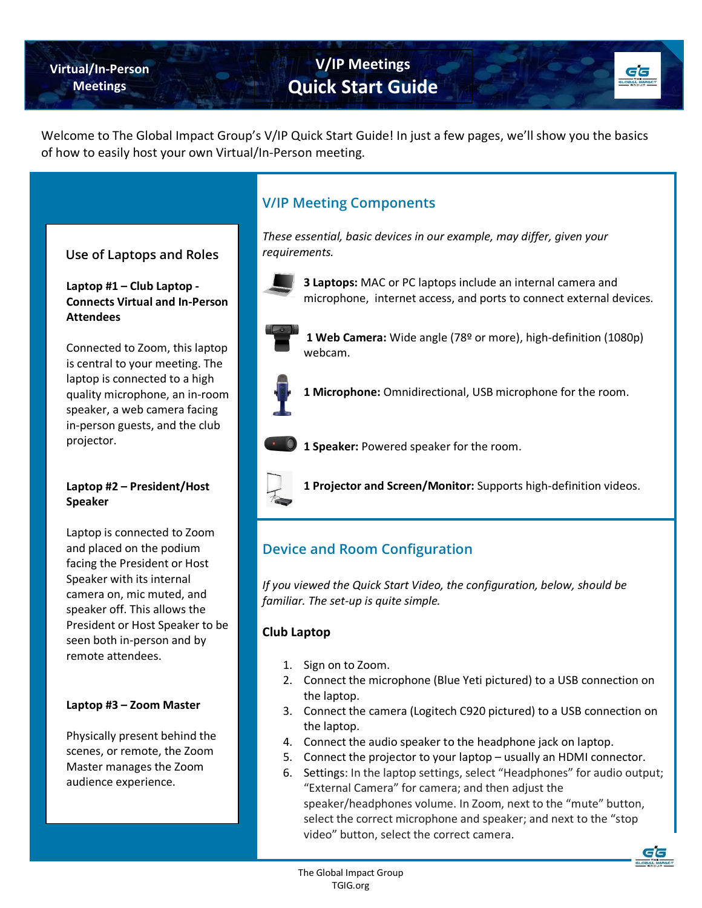**Virtual/In-Person Meetings**

# **V/IP Meetings Quick Start Guide**

Welcome to The Global Impact Group's V/IP Quick Start Guide! In just a few pages, we'll show you the basics of how to easily host your own Virtual/In-Person meeting.

# **Use of Laptops and Roles**

**Laptop #1 – Club Laptop - Connects Virtual and In-Person Attendees**

Connected to Zoom, this laptop is central to your meeting. The laptop is connected to a high quality microphone, an in-room speaker, a web camera facing in-person guests, and the club projector.

## **Laptop #2 – President/Host Speaker**

Laptop is connected to Zoom and placed on the podium facing the President or Host Speaker with its internal camera on, mic muted, and speaker off. This allows the President or Host Speaker to be seen both in-person and by remote attendees.

## **Laptop #3 – Zoom Master**

Physically present behind the scenes, or remote, the Zoom Master manages the Zoom audience experience.

# **V/IP Meeting Components**

*These essential, basic devices in our example, may differ, given your requirements.*



**3 Laptops:** MAC or PC laptops include an internal camera and microphone, internet access, and ports to connect external devices.



**1 Web Camera:** Wide angle (78º or more), high-definition (1080p) webcam.



**1 Microphone:** Omnidirectional, USB microphone for the room.



**1 Speaker:** Powered speaker for the room.



**1 Projector and Screen/Monitor:** Supports high-definition videos.

# **Device and Room Configuration**

*If you viewed the Quick Start Video, the configuration, below, should be familiar. The set-up is quite simple.* 

### **Club Laptop**

- 1. Sign on to Zoom.
- 2. Connect the microphone (Blue Yeti pictured) to a USB connection on the laptop.
- 3. Connect the camera (Logitech C920 pictured) to a USB connection on the laptop.
- 4. Connect the audio speaker to the headphone jack on laptop.
- 5. Connect the projector to your laptop usually an HDMI connector.
- 6. Settings: In the laptop settings, select "Headphones" for audio output; "External Camera" for camera; and then adjust the speaker/headphones volume. In Zoom, next to the "mute" button, select the correct microphone and speaker; and next to the "stop video" button, select the correct camera.

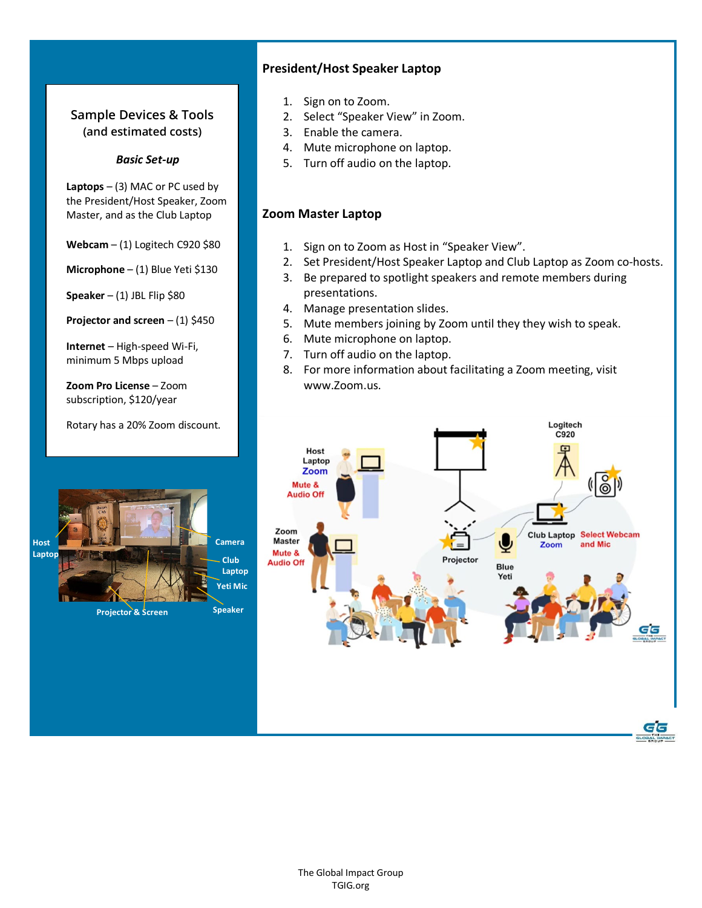# **Sample Devices & Tools (and estimated costs)**

## *Basic Set-up*

**Laptops** – (3) MAC or PC used by the President/Host Speaker, Zoom Master, and as the Club Laptop

**Webcam** – (1) Logitech C920 \$80

**Microphone** – (1) Blue Yeti \$130

**Speaker** – (1) JBL Flip \$80

**Projector and screen** – (1) \$450

**Internet** – High-speed Wi-Fi, minimum 5 Mbps upload

**Zoom Pro License** – Zoom subscription, \$120/year

**Projector & Screen**

**Host Laptop** Rotary has a 20% Zoom discount.

## **President/Host Speaker Laptop**

- 1. Sign on to Zoom.
- 2. Select "Speaker View" in Zoom.
- 3. Enable the camera.
- 4. Mute microphone on laptop.
- 5. Turn off audio on the laptop.

## **Zoom Master Laptop**

- 1. Sign on to Zoom as Host in "Speaker View".
- 2. Set President/Host Speaker Laptop and Club Laptop as Zoom co-hosts.
- 3. Be prepared to spotlight speakers and remote members during presentations.
- 4. Manage presentation slides.
- 5. Mute members joining by Zoom until they they wish to speak.
- 6. Mute microphone on laptop.
- 7. Turn off audio on the laptop.
- 8. For more information about facilitating a Zoom meeting, visit www.Zoom.us.